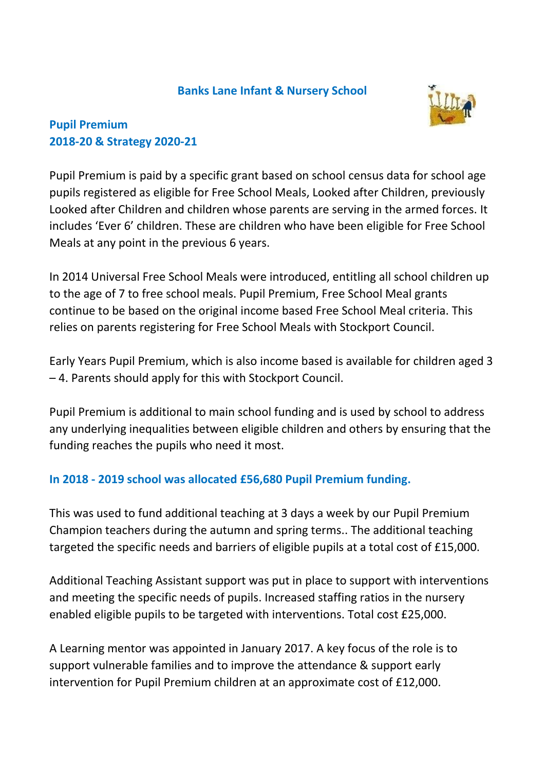### **Banks Lane Infant & Nursery School**



## **Pupil Premium 2018-20 & Strategy 2020-21**

Pupil Premium is paid by a specific grant based on school census data for school age pupils registered as eligible for Free School Meals, Looked after Children, previously Looked after Children and children whose parents are serving in the armed forces. It includes 'Ever 6' children. These are children who have been eligible for Free School Meals at any point in the previous 6 years.

In 2014 Universal Free School Meals were introduced, entitling all school children up to the age of 7 to free school meals. Pupil Premium, Free School Meal grants continue to be based on the original income based Free School Meal criteria. This relies on parents registering for Free School Meals with Stockport Council.

Early Years Pupil Premium, which is also income based is available for children aged 3 – 4. Parents should apply for this with Stockport Council.

Pupil Premium is additional to main school funding and is used by school to address any underlying inequalities between eligible children and others by ensuring that the funding reaches the pupils who need it most.

## **In 2018 - 2019 school was allocated £56,680 Pupil Premium funding.**

This was used to fund additional teaching at 3 days a week by our Pupil Premium Champion teachers during the autumn and spring terms.. The additional teaching targeted the specific needs and barriers of eligible pupils at a total cost of £15,000.

Additional Teaching Assistant support was put in place to support with interventions and meeting the specific needs of pupils. Increased staffing ratios in the nursery enabled eligible pupils to be targeted with interventions. Total cost £25,000.

A Learning mentor was appointed in January 2017. A key focus of the role is to support vulnerable families and to improve the attendance & support early intervention for Pupil Premium children at an approximate cost of £12,000.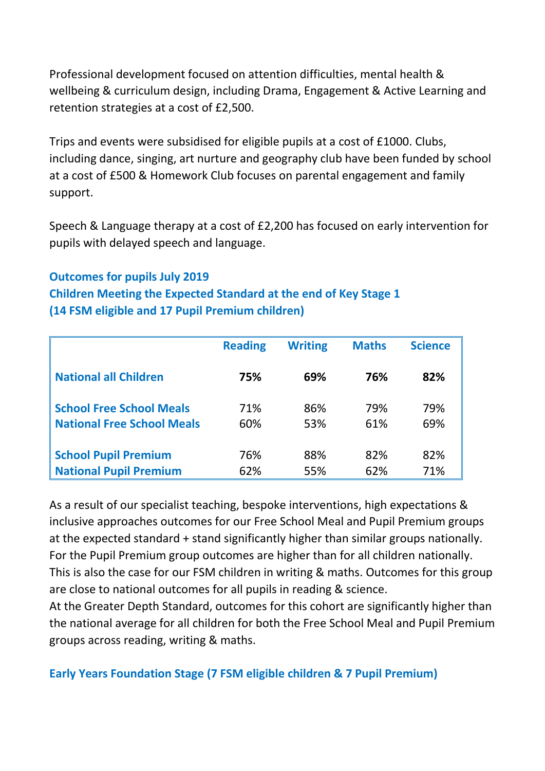Professional development focused on attention difficulties, mental health & wellbeing & curriculum design, including Drama, Engagement & Active Learning and retention strategies at a cost of £2,500.

Trips and events were subsidised for eligible pupils at a cost of £1000. Clubs, including dance, singing, art nurture and geography club have been funded by school at a cost of £500 & Homework Club focuses on parental engagement and family support.

Speech & Language therapy at a cost of £2,200 has focused on early intervention for pupils with delayed speech and language.

# **Outcomes for pupils July 2019**

**Children Meeting the Expected Standard at the end of Key Stage 1 (14 FSM eligible and 17 Pupil Premium children)**

|                                   | <b>Reading</b> | <b>Writing</b> | <b>Maths</b> | <b>Science</b> |
|-----------------------------------|----------------|----------------|--------------|----------------|
| <b>National all Children</b>      | 75%            | 69%            | 76%          | 82%            |
| <b>School Free School Meals</b>   | 71%            | 86%            | 79%          | 79%            |
| <b>National Free School Meals</b> | 60%            | 53%            | 61%          | 69%            |
|                                   | 76%            | 88%            | 82%          | 82%            |
| <b>School Pupil Premium</b>       |                |                |              |                |
| <b>National Pupil Premium</b>     | 62%            | 55%            | 62%          | 71%            |

As a result of our specialist teaching, bespoke interventions, high expectations & inclusive approaches outcomes for our Free School Meal and Pupil Premium groups at the expected standard + stand significantly higher than similar groups nationally. For the Pupil Premium group outcomes are higher than for all children nationally. This is also the case for our FSM children in writing & maths. Outcomes for this group are close to national outcomes for all pupils in reading & science.

At the Greater Depth Standard, outcomes for this cohort are significantly higher than the national average for all children for both the Free School Meal and Pupil Premium groups across reading, writing & maths.

**Early Years Foundation Stage (7 FSM eligible children & 7 Pupil Premium)**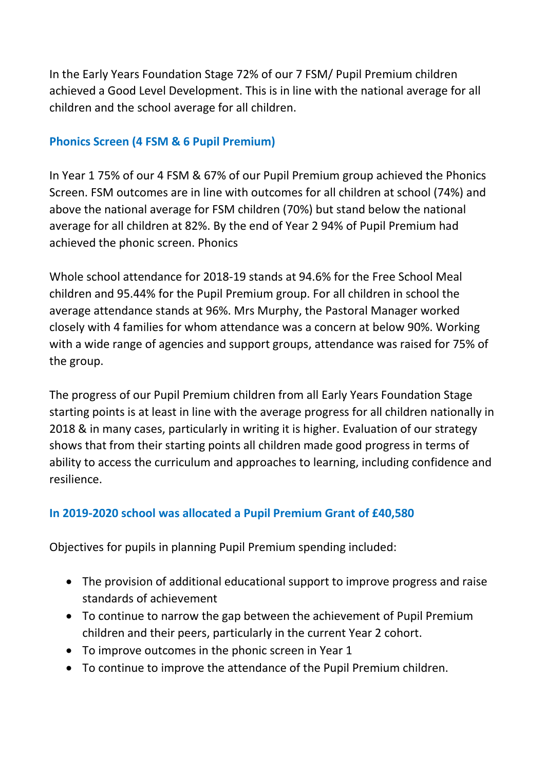In the Early Years Foundation Stage 72% of our 7 FSM/ Pupil Premium children achieved a Good Level Development. This is in line with the national average for all children and the school average for all children.

### **Phonics Screen (4 FSM & 6 Pupil Premium)**

In Year 1 75% of our 4 FSM & 67% of our Pupil Premium group achieved the Phonics Screen. FSM outcomes are in line with outcomes for all children at school (74%) and above the national average for FSM children (70%) but stand below the national average for all children at 82%. By the end of Year 2 94% of Pupil Premium had achieved the phonic screen. Phonics

Whole school attendance for 2018-19 stands at 94.6% for the Free School Meal children and 95.44% for the Pupil Premium group. For all children in school the average attendance stands at 96%. Mrs Murphy, the Pastoral Manager worked closely with 4 families for whom attendance was a concern at below 90%. Working with a wide range of agencies and support groups, attendance was raised for 75% of the group.

The progress of our Pupil Premium children from all Early Years Foundation Stage starting points is at least in line with the average progress for all children nationally in 2018 & in many cases, particularly in writing it is higher. Evaluation of our strategy shows that from their starting points all children made good progress in terms of ability to access the curriculum and approaches to learning, including confidence and resilience.

## **In 2019-2020 school was allocated a Pupil Premium Grant of £40,580**

Objectives for pupils in planning Pupil Premium spending included:

- The provision of additional educational support to improve progress and raise standards of achievement
- To continue to narrow the gap between the achievement of Pupil Premium children and their peers, particularly in the current Year 2 cohort.
- To improve outcomes in the phonic screen in Year 1
- To continue to improve the attendance of the Pupil Premium children.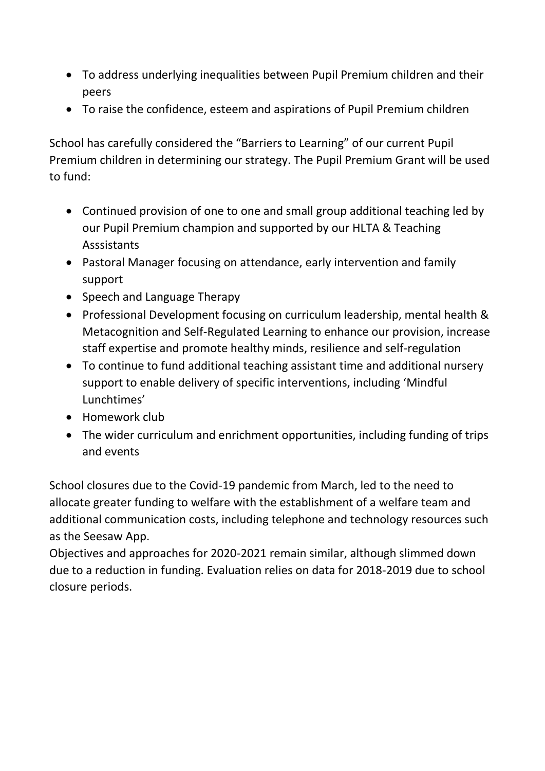- To address underlying inequalities between Pupil Premium children and their peers
- To raise the confidence, esteem and aspirations of Pupil Premium children

School has carefully considered the "Barriers to Learning" of our current Pupil Premium children in determining our strategy. The Pupil Premium Grant will be used to fund:

- Continued provision of one to one and small group additional teaching led by our Pupil Premium champion and supported by our HLTA & Teaching Asssistants
- Pastoral Manager focusing on attendance, early intervention and family support
- Speech and Language Therapy
- Professional Development focusing on curriculum leadership, mental health & Metacognition and Self-Regulated Learning to enhance our provision, increase staff expertise and promote healthy minds, resilience and self-regulation
- To continue to fund additional teaching assistant time and additional nursery support to enable delivery of specific interventions, including 'Mindful Lunchtimes'
- Homework club
- The wider curriculum and enrichment opportunities, including funding of trips and events

School closures due to the Covid-19 pandemic from March, led to the need to allocate greater funding to welfare with the establishment of a welfare team and additional communication costs, including telephone and technology resources such as the Seesaw App.

Objectives and approaches for 2020-2021 remain similar, although slimmed down due to a reduction in funding. Evaluation relies on data for 2018-2019 due to school closure periods.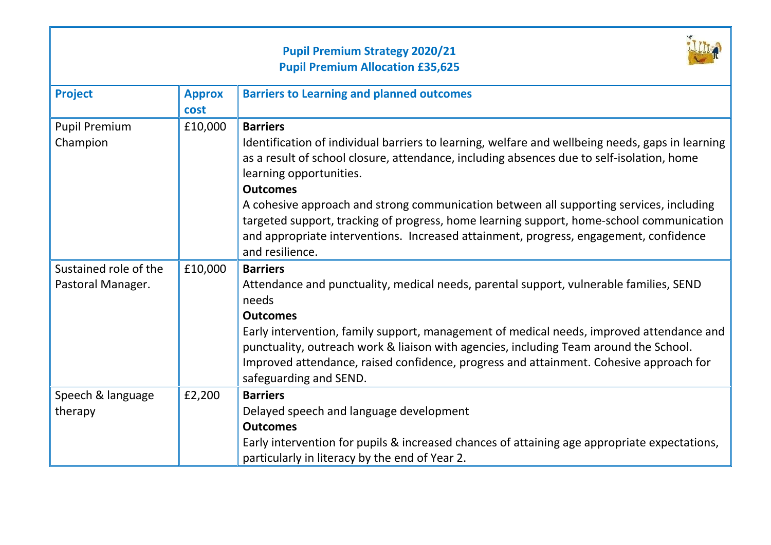|                                            |                       | <b>Pupil Premium Strategy 2020/21</b><br><b>Pupil Premium Allocation £35,625</b>                                                                                                                                                                                                                                                                                                                                                                                                                                                                                  |
|--------------------------------------------|-----------------------|-------------------------------------------------------------------------------------------------------------------------------------------------------------------------------------------------------------------------------------------------------------------------------------------------------------------------------------------------------------------------------------------------------------------------------------------------------------------------------------------------------------------------------------------------------------------|
| <b>Project</b>                             | <b>Approx</b><br>cost | <b>Barriers to Learning and planned outcomes</b>                                                                                                                                                                                                                                                                                                                                                                                                                                                                                                                  |
| <b>Pupil Premium</b><br>Champion           | £10,000               | <b>Barriers</b><br>Identification of individual barriers to learning, welfare and wellbeing needs, gaps in learning<br>as a result of school closure, attendance, including absences due to self-isolation, home<br>learning opportunities.<br><b>Outcomes</b><br>A cohesive approach and strong communication between all supporting services, including<br>targeted support, tracking of progress, home learning support, home-school communication<br>and appropriate interventions. Increased attainment, progress, engagement, confidence<br>and resilience. |
| Sustained role of the<br>Pastoral Manager. | £10,000               | <b>Barriers</b><br>Attendance and punctuality, medical needs, parental support, vulnerable families, SEND<br>needs<br><b>Outcomes</b><br>Early intervention, family support, management of medical needs, improved attendance and<br>punctuality, outreach work & liaison with agencies, including Team around the School.<br>Improved attendance, raised confidence, progress and attainment. Cohesive approach for<br>safeguarding and SEND.                                                                                                                    |
| Speech & language<br>therapy               | £2,200                | <b>Barriers</b><br>Delayed speech and language development<br><b>Outcomes</b><br>Early intervention for pupils & increased chances of attaining age appropriate expectations,<br>particularly in literacy by the end of Year 2.                                                                                                                                                                                                                                                                                                                                   |